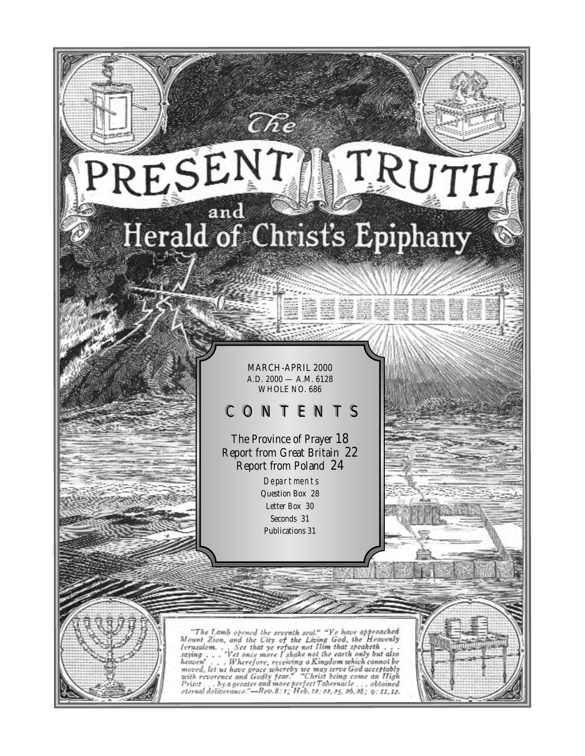# RESENT TRUT Herald of Christ's Epiphany

MARCH-APRIL 2000 A.D. 2000 — A.M. 6128 WHOLE NO. 686

# CONTENTS

The Province of Prayer 18 Report from Great Britain 22 Report from Poland 24

Departments Question Box 28 Letter Box 30 Seconds 31 Publications 31

"The Lamb opened the seventh seat." "Ye have approached<br>Mount Zion, and the City of the Living God, the Heavenly<br>Jerusalem... See that ye refuse not Him that speaketh...<br>saying... 'Yet once more I shake not the earth only saying . . . Forefore, receiving a Kingdom which cannot be<br>noved, let us have grace whereby we may serve God acceptably<br>with reverence and Godly fear." "Christ being come an High<br>Priest . . by a greater and more perfect Ta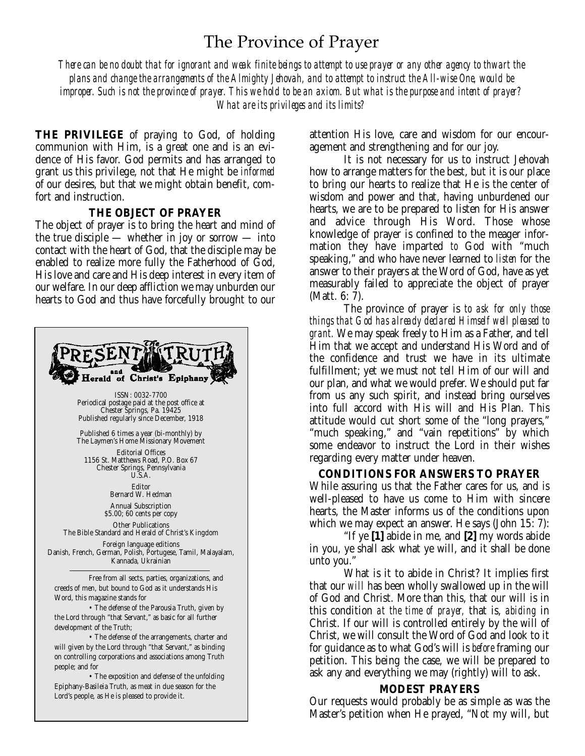# The Province of Prayer

*There can be no doubt that for ignorant and weak finite beings to attempt to use prayer or any other agency to thwart the plans and change the arrangements of the Almighty Jehovah, and to attempt to instruct the All-wise One, would be improper. Such is not the province of prayer. This we hold to be an axiom. But what is the purpose and intent of prayer? What are its privileges and its limits?*

**THE PRIVILEGE** of praying to God, of holding communion with Him, is a great one and is an evidence of His favor. God permits and has arranged to grant us this privilege, not that He might be *informed* of our desires, but that we might obtain benefit, comfort and instruction.

#### **THE OBJECT OF PRAYER**

The object of prayer is to bring the heart and mind of the true disciple — whether in joy or sorrow — into contact with the heart of God, that the disciple may be enabled to realize more fully the Fatherhood of God, His love and care and His deep interest in every item of our welfare. In our deep affliction we may unburden our hearts to God and thus have forcefully brought to our



attention His love, care and wisdom for our encouragement and strengthening and for our joy.

It is not necessary for us to instruct Jehovah how to arrange matters for the best, but it is our place to bring our hearts to realize that He is the center of wisdom and power and that, having unburdened our hearts, we are to be prepared to listen for His answer and advice through His Word. Those whose knowledge of prayer is confined to the meager information they have imparted *to* God with "much speaking," and who have never learned to *listen* for the answer to their prayers at the Word of God, have as yet measurably failed to appreciate the object of prayer (Matt. 6: 7).

The province of prayer is *to ask for only those things that God has already declared Himself well pleased to grant.* We may speak freely to Him as a Father, and tell Him that we accept and understand His Word and of the confidence and trust we have in its ultimate fulfillment; yet we must not tell Him of our will and our plan, and what we would prefer. We should put far from us any such spirit, and instead bring ourselves into full accord with His will and His Plan. This attitude would cut short some of the "long prayers," "much speaking," and "vain repetitions" by which some endeavor to instruct the Lord in their wishes regarding every matter under heaven.

**CONDITIONS FOR ANSWERS TO PRAYER** While assuring us that the Father cares for us, and is well-pleased to have us come to Him with sincere hearts, the Master informs us of the conditions upon which we may expect an answer. He says (John 15: 7):

"If ye **[1]** abide in me, and **[2]** my words abide in you, ye shall ask what ye will, and it shall be done unto you."

What is it to abide in Christ? It implies first that our *will* has been wholly swallowed up in the will of God and Christ. More than this, that our will is in this condition *at the time of prayer,* that is, *abiding* in Christ. If our will is controlled entirely by the will of Christ, we will consult the Word of God and look to it for guidance as to what God's will is *before* framing our petition. This being the case, we will be prepared to ask any and everything we may (rightly) will to ask.

#### **MODEST PRAYERS**

Our requests would probably be as simple as was the Master's petition when He prayed, "Not my will, but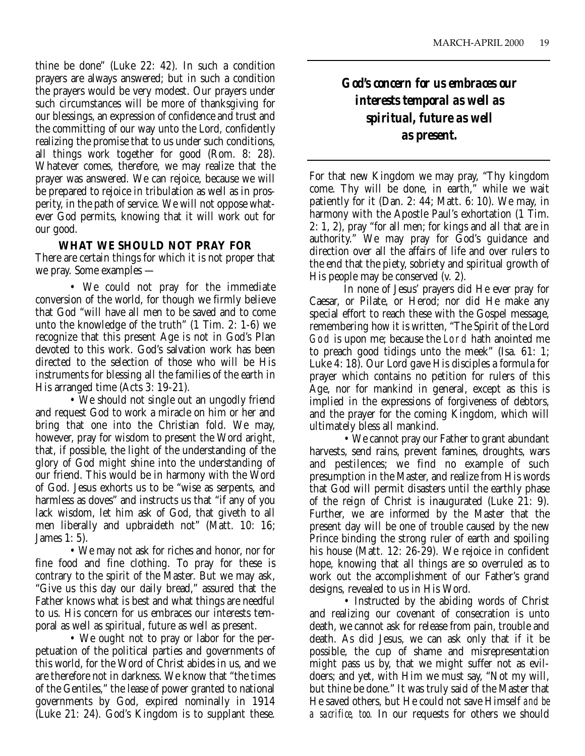thine be done" (Luke 22: 42). In such a condition prayers are always answered; but in such a condition the prayers would be very modest. Our prayers under such circumstances will be more of thanksgiving for our blessings, an expression of confidence and trust and the committing of our way unto the Lord, confidently realizing the promise that to us under such conditions, all things work together for good (Rom. 8: 28). Whatever comes, therefore, we may realize that the prayer was answered. We can rejoice, because we will be prepared to rejoice in tribulation as well as in prosperity, in the path of service. We will not oppose whatever God permits, knowing that it will work out for our good.

#### **WHAT WE SHOULD NOT PRAY FOR**

There are certain things for which it is not proper that we pray. Some examples —

• We could not pray for the immediate conversion of the world, for though we firmly believe that God "will have all men to be saved and to come unto the knowledge of the truth" (1 Tim. 2: 1-6) we recognize that this present Age is not in God's Plan devoted to this work. God's salvation work has been directed to the selection of those who will be His instruments for blessing all the families of the earth in His arranged time (Acts 3: 19-21).

• We should not single out an ungodly friend and request God to work a miracle on him or her and bring that one into the Christian fold. We may, however, pray for wisdom to present the Word aright, that, if possible, the light of the understanding of the glory of God might shine into the understanding of our friend. This would be in harmony with the Word of God. Jesus exhorts us to be "wise as serpents, and harmless as doves" and instructs us that "if any of you lack wisdom, let him ask of God, that giveth to all men liberally and upbraideth not" (Matt. 10: 16; James 1: 5).

• We may not ask for riches and honor, nor for fine food and fine clothing. To pray for these is contrary to the spirit of the Master. But we may ask, "Give us this day our daily bread," assured that the Father knows what is best and what things are needful to us. His concern for us embraces our interests temporal as well as spiritual, future as well as present.

• We ought not to pray or labor for the perpetuation of the political parties and governments of this world, for the Word of Christ abides in us, and we are therefore not in darkness. We know that "the times of the Gentiles," the lease of power granted to national governments by God, expired nominally in 1914 (Luke 21: 24). God's Kingdom is to supplant these.

*God's concern for us embraces our interests temporal as well as spiritual, future as well as present.*

For that new Kingdom we may pray, "Thy kingdom come. Thy will be done, in earth," while we wait patiently for it (Dan. 2: 44; Matt. 6: 10). We may, in harmony with the Apostle Paul's exhortation (1 Tim. 2: 1, 2), pray "for all men; for kings and all that are in authority." We may pray for God's guidance and direction over all the affairs of life and over rulers to the end that the piety, sobriety and spiritual growth of His people may be conserved (v. 2).

In none of Jesus' prayers did He ever pray for Caesar, or Pilate, or Herod; nor did He make any special effort to reach these with the Gospel message, remembering how it is written, "The Spirit of the Lord God is upon me; because the Lord hath anointed me to preach good tidings unto the meek" (Isa. 61: 1; Luke 4: 18). Our Lord gave His disciples a formula for prayer which contains no petition for rulers of this Age, nor for mankind in general, except as this is implied in the expressions of forgiveness of debtors, and the prayer for the coming Kingdom, which will ultimately bless all mankind.

• We cannot pray our Father to grant abundant harvests, send rains, prevent famines, droughts, wars and pestilences; we find no example of such presumption in the Master, and realize from His words that God will permit disasters until the earthly phase of the reign of Christ is inaugurated (Luke 21: 9). Further, we are informed by the Master that the present day will be one of trouble caused by the new Prince binding the strong ruler of earth and spoiling his house (Matt. 12: 26-29). We rejoice in confident hope, knowing that all things are so overruled as to work out the accomplishment of our Father's grand designs, revealed to us in His Word.

• Instructed by the abiding words of Christ and realizing our covenant of consecration is unto death, we cannot ask for release from pain, trouble and death. As did Jesus, we can ask only that if it be possible, the cup of shame and misrepresentation might pass us by, that we might suffer not as evildoers; and yet, with Him we must say, "Not my will, but thine be done." It was truly said of the Master that He saved others, but He could not save Himself *and be a sacrifice, too.* In our requests for others we should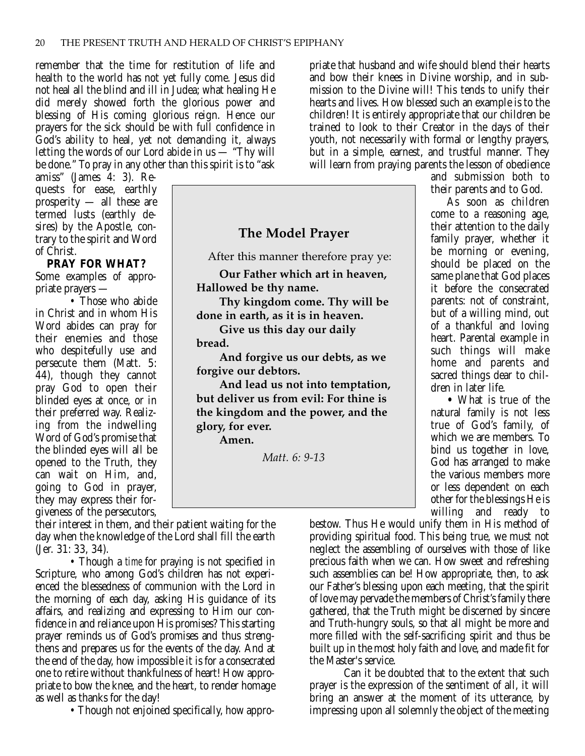remember that the time for restitution of life and health to the world has not yet fully come. Jesus did not heal all the blind and ill in Judea; what healing He did merely showed forth the glorious power and blessing of His coming glorious reign. Hence our prayers for the sick should be with full confidence in God's ability to heal, yet not demanding it, always letting the words of our Lord abide in us — "Thy will be done." To pray in any other than this spirit is to "ask

amiss" (James 4: 3). Requests for ease, earthly prosperity — all these are termed lusts (earthly desires) by the Apostle, contrary to the spirit and Word of Christ.

**PRAY FOR WHAT?** Some examples of appropriate prayers —

• Those who abide in Christ and in whom His Word abides can pray for their enemies and those who despitefully use and persecute them (Matt. 5: 44), though they cannot pray God to open their blinded eyes at once, or in their preferred way. Realizing from the indwelling Word of God's promise that the blinded eyes will all be opened to the Truth, they can wait on Him, and, going to God in prayer, they may express their forgiveness of the persecutors,

their interest in them, and their patient waiting for the day when the knowledge of the Lord shall fill the earth (Jer. 31: 33, 34).

• Though a *time* for praying is not specified in Scripture, who among God's children has not experienced the blessedness of communion with the Lord in the morning of each day, asking His guidance of its affairs, and realizing and expressing to Him our confidence in and reliance upon His promises? This starting prayer reminds us of God's promises and thus strengthens and prepares us for the events of the day. And at the end of the day, how impossible it is for a consecrated one to retire without thankfulness of heart! How appropriate to bow the knee, and the heart, to render homage as well as thanks for the day!

• Though not enjoined specifically, how appro-

priate that husband and wife should blend their hearts and bow their knees in Divine worship, and in submission to the Divine will! This tends to unify their hearts and lives. How blessed such an example is to the children! It is entirely appropriate that our children be trained to look to their Creator in the days of their youth, not necessarily with formal or lengthy prayers, but in a simple, earnest, and trustful manner. They will learn from praying parents the lesson of obedience

and submission both to their parents and to God.

As soon as children come to a reasoning age, their attention to the daily family prayer, whether it be morning or evening, should be placed on the same plane that God places it before the consecrated parents: not of constraint, but of a willing mind, out of a thankful and loving heart. Parental example in such things will make home and parents and sacred things dear to children in later life.

**•** What is true of the natural family is not less true of God's family, of which we are members. To bind us together in love, God has arranged to make the various members more or less dependent on each other for the blessings He is willing and ready to

bestow. Thus He would unify them in His method of providing spiritual food. This being true, we must not neglect the assembling of ourselves with those of like precious faith when we can. How sweet and refreshing such assemblies can be! How appropriate, then, to ask our Father's blessing upon each meeting, that the spirit of love may pervade the members of Christ's family there gathered, that the Truth might be discerned by sincere and Truth-hungry souls, so that all might be more and more filled with the self-sacrificing spirit and thus be built up in the most holy faith and love, and made fit for the Master's service.

Can it be doubted that to the extent that such prayer is the expression of the sentiment of all, it will bring an answer at the moment of its utterance, by impressing upon all solemnly the object of the meeting

After this manner therefore pray ye: **Our Father which art in heaven, Hallowed be thy name. Thy kingdom come. Thy will be done in earth, as it is in heaven. Give us this day our daily**

**The Model Prayer**

**bread.**

**And forgive us our debts, as we forgive our debtors.**

**And lead us not into temptation, but deliver us from evil: For thine is the kingdom and the power, and the glory, for ever.**

**Amen.**

*Matt. 6: 9-13*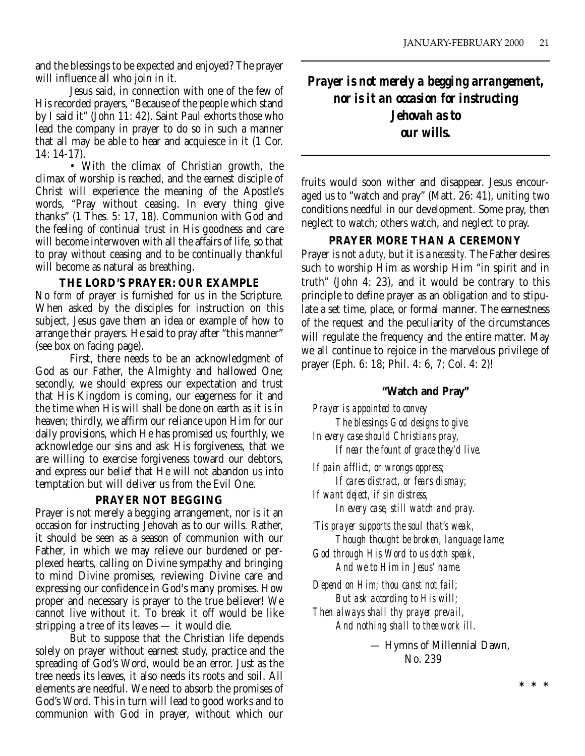and the blessings to be expected and enjoyed? The prayer will influence all who join in it.

Jesus said, in connection with one of the few of His recorded prayers, "Because of the people which stand by I said it" (John 11: 42). Saint Paul exhorts those who lead the company in prayer to do so in such a manner that all may be able to hear and acquiesce in it (1 Cor. 14: 14-17).

• With the climax of Christian growth, the climax of worship is reached, and the earnest disciple of Christ will experience the meaning of the Apostle's words, "Pray without ceasing. In every thing give thanks" (1 Thes. 5: 17, 18). Communion with God and the feeling of continual trust in His goodness and care will become interwoven with all the affairs of life, so that to pray without ceasing and to be continually thankful will become as natural as breathing.

#### **THE LORD'S PRAYER: OUR EXAMPLE**

No *form* of prayer is furnished for us in the Scripture. When asked by the disciples for instruction on this subject, Jesus gave them an idea or example of how to arrange their prayers. He said to pray after "this manner" (see box on facing page).

First, there needs to be an acknowledgment of God as our Father, the Almighty and hallowed One; secondly, we should express our expectation and trust that His Kingdom is coming, our eagerness for it and the time when His will shall be done on earth as it is in heaven; thirdly, we affirm our reliance upon Him for our daily provisions, which He has promised us; fourthly, we acknowledge our sins and ask His forgiveness, that we are willing to exercise forgiveness toward our debtors, and express our belief that He will not abandon us into temptation but will deliver us from the Evil One.

#### **PRAYER NOT BEGGING**

Prayer is not merely a begging arrangement, nor is it an occasion for instructing Jehovah as to our wills. Rather, it should be seen as a season of communion with our Father, in which we may relieve our burdened or perplexed hearts, calling on Divine sympathy and bringing to mind Divine promises, reviewing Divine care and expressing our confidence in God's many promises. How proper and necessary is prayer to the true believer! We cannot live without it. To break it off would be like stripping a tree of its leaves — it would die.

But to suppose that the Christian life depends solely on prayer without earnest study, practice and the spreading of God's Word, would be an error. Just as the tree needs its leaves, it also needs its roots and soil. All elements are needful. We need to absorb the promises of God's Word. This in turn will lead to good works and to communion with God in prayer, without which our *Prayer is not merely a begging arrangement, nor is it an occasion for instructing Jehovah as to our wills.*

fruits would soon wither and disappear. Jesus encouraged us to "watch and pray" (Matt. 26: 41), uniting two conditions needful in our development. Some pray, then neglect to watch; others watch, and neglect to pray.

#### **PRAYER MORE THAN A CEREMONY**

Prayer is not a *duty,* but it is a *necessity.* The Father desires such to worship Him as worship Him "in spirit and in truth" (John 4: 23), and it would be contrary to this principle to define prayer as an obligation and to stipulate a set time, place, or formal manner. The earnestness of the request and the peculiarity of the circumstances will regulate the frequency and the entire matter. May we all continue to rejoice in the marvelous privilege of prayer (Eph. 6: 18; Phil. 4: 6, 7; Col. 4: 2)!

#### **"Watch and Pray"**

*Prayer is appointed to convey The blessings God designs to give. In every case should Christians pray, If near the fount of grace they'd live.*

*If pain afflict, or wrongs oppress; If cares distract, or fears dismay; If want deject, if sin distress,*

*In every case, still watch and pray.*

*'Tis prayer supports the soul that's weak, Though thought be broken, language lame; God through His Word to us doth speak, And we to Him in Jesus' name.*

*Depend on Him; thou canst not fail; But ask according to His will; Then always shall thy prayer prevail, And nothing shall to thee work ill.*

> — Hymns of Millennial Dawn, No. 239

> > **\*\*\***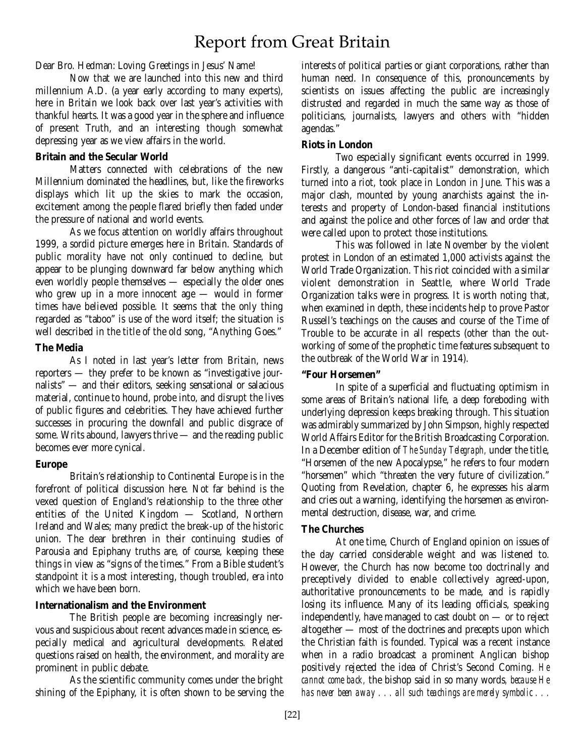# Report from Great Britain

Dear Bro. Hedman: Loving Greetings in Jesus' Name!

Now that we are launched into this new and third millennium A.D. (a year early according to many experts), here in Britain we look back over last year's activities with thankful hearts. It was a good year in the sphere and influence of present Truth, and an interesting though somewhat depressing year as we view affairs in the world.

#### **Britain and the Secular World**

Matters connected with celebrations of the new Millennium dominated the headlines, but, like the fireworks displays which lit up the skies to mark the occasion, excitement among the people flared briefly then faded under the pressure of national and world events.

As we focus attention on worldly affairs throughout 1999, a sordid picture emerges here in Britain. Standards of public morality have not only continued to decline, but appear to be plunging downward far below anything which even worldly people themselves — especially the older ones who grew up in a more innocent age — would in former times have believed possible. It seems that the only thing regarded as "taboo" is use of the word itself; the situation is well described in the title of the old song, "Anything Goes."

#### **The Media**

As I noted in last year's letter from Britain, news reporters — they prefer to be known as "investigative journalists" — and their editors, seeking sensational or salacious material, continue to hound, probe into, and disrupt the lives of public figures and celebrities. They have achieved further successes in procuring the downfall and public disgrace of some. Writs abound, lawyers thrive — and the reading public becomes ever more cynical.

#### **Europe**

Britain's relationship to Continental Europe is in the forefront of political discussion here. Not far behind is the vexed question of England's relationship to the three other entities of the United Kingdom — Scotland, Northern Ireland and Wales; many predict the break-up of the historic union. The dear brethren in their continuing studies of Parousia and Epiphany truths are, of course, keeping these things in view as "signs of the times." From a Bible student's standpoint it is a most interesting, though troubled, era into which we have been born.

#### **Internationalism and the Environment**

The British people are becoming increasingly nervous and suspicious about recent advances made in science, especially medical and agricultural developments. Related questions raised on health, the environment, and morality are prominent in public debate.

As the scientific community comes under the bright shining of the Epiphany, it is often shown to be serving the

interests of political parties or giant corporations, rather than human need. In consequence of this, pronouncements by scientists on issues affecting the public are increasingly distrusted and regarded in much the same way as those of politicians, journalists, lawyers and others with "hidden agendas."

#### **Riots in London**

Two especially significant events occurred in 1999. Firstly, a dangerous "anti-capitalist" demonstration, which turned into a riot, took place in London in June. This was a major clash, mounted by young anarchists against the interests and property of London-based financial institutions and against the police and other forces of law and order that were called upon to protect those institutions.

This was followed in late November by the violent protest in London of an estimated 1,000 activists against the World Trade Organization. This riot coincided with a similar violent demonstration in Seattle, where World Trade Organization talks were in progress. It is worth noting that, when examined in depth, these incidents help to prove Pastor Russell's teachings on the causes and course of the Time of Trouble to be accurate in all respects (other than the outworking of some of the prophetic time features subsequent to the outbreak of the World War in 1914).

#### **"Four Horsemen"**

In spite of a superficial and fluctuating optimism in some areas of Britain's national life, a deep foreboding with underlying depression keeps breaking through. This situation was admirably summarized by John Simpson, highly respected World Affairs Editor for the British Broadcasting Corporation. In a December edition of *The Sunday Telegraph,* under the title, "Horsemen of the new Apocalypse," he refers to four modern "horsemen" which "threaten the very future of civilization." Quoting from Revelation, chapter 6, he expresses his alarm and cries out a warning, identifying the horsemen as environmental destruction, disease, war, and crime.

#### **The Churches**

At one time, Church of England opinion on issues of the day carried considerable weight and was listened to. However, the Church has now become too doctrinally and preceptively divided to enable collectively agreed-upon, authoritative pronouncements to be made, and is rapidly losing its influence. Many of its leading officials, speaking independently, have managed to cast doubt on — or to reject altogether — most of the doctrines and precepts upon which the Christian faith is founded. Typical was a recent instance when in a radio broadcast a prominent Anglican bishop positively rejected the idea of Christ's Second Coming. *He cannot come back,* the bishop said in so many words*, because He has never been away . . . all such teachings are merely symbolic . . .*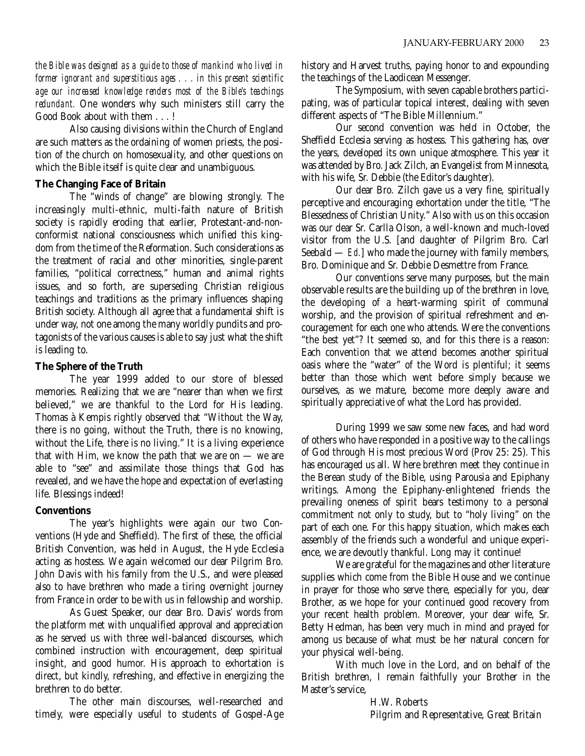*the Bible was designed as a guide to those of mankind who lived in former ignorant and superstitious ages . . . in this present scientific age our increased knowledge renders most of the Bible's teachings redundant.* One wonders why such ministers still carry the Good Book about with them . . . !

Also causing divisions within the Church of England are such matters as the ordaining of women priests, the position of the church on homosexuality, and other questions on which the Bible itself is quite clear and unambiguous.

#### **The Changing Face of Britain**

The "winds of change" are blowing strongly. The increasingly multi-ethnic, multi-faith nature of British society is rapidly eroding that earlier, Protestant-and-nonconformist national consciousness which unified this kingdom from the time of the Reformation. Such considerations as the treatment of racial and other minorities, single-parent families, "political correctness," human and animal rights issues, and so forth, are superseding Christian religious teachings and traditions as the primary influences shaping British society. Although all agree that a fundamental shift is under way, not one among the many worldly pundits and protagonists of the various causes is able to say just what the shift is leading to.

#### **The Sphere of the Truth**

The year 1999 added to our store of blessed memories. Realizing that we are "nearer than when we first believed," we are thankful to the Lord for His leading. Thomas à Kempis rightly observed that "Without the Way, there is no going, without the Truth, there is no knowing, without the Life, there is no living." It is a living experience that with Him, we know the path that we are on  $-$  we are able to "see" and assimilate those things that God has revealed, and we have the hope and expectation of everlasting life. Blessings indeed!

#### **Conventions**

The year's highlights were again our two Conventions (Hyde and Sheffield). The first of these, the official British Convention, was held in August, the Hyde Ecclesia acting as hostess. We again welcomed our dear Pilgrim Bro. John Davis with his family from the U.S., and were pleased also to have brethren who made a tiring overnight journey from France in order to be with us in fellowship and worship.

As Guest Speaker, our dear Bro. Davis' words from the platform met with unqualified approval and appreciation as he served us with three well-balanced discourses, which combined instruction with encouragement, deep spiritual insight, and good humor. His approach to exhortation is direct, but kindly, refreshing, and effective in energizing the brethren to do better.

The other main discourses, well-researched and timely, were especially useful to students of Gospel-Age history and Harvest truths, paying honor to and expounding the teachings of the Laodicean Messenger.

The Symposium, with seven capable brothers participating, was of particular topical interest, dealing with seven different aspects of "The Bible Millennium."

Our second convention was held in October, the Sheffield Ecclesia serving as hostess. This gathering has, over the years, developed its own unique atmosphere. This year it was attended by Bro. Jack Zilch, an Evangelist from Minnesota, with his wife, Sr. Debbie (the Editor's daughter).

Our dear Bro. Zilch gave us a very fine, spiritually perceptive and encouraging exhortation under the title, "The Blessedness of Christian Unity." Also with us on this occasion was our dear Sr. Carlla Olson, a well-known and much-loved visitor from the U.S. [and daughter of Pilgrim Bro. Carl Seebald — *Ed.*] who made the journey with family members, Bro. Dominique and Sr. Debbie Desmettre from France.

Our conventions serve many purposes, but the main observable results are the building up of the brethren in love, the developing of a heart-warming spirit of communal worship, and the provision of spiritual refreshment and encouragement for each one who attends. Were the conventions "the best yet"? It seemed so, and for this there is a reason: Each convention that we attend becomes another spiritual oasis where the "water" of the Word is plentiful; it seems better than those which went before simply because we ourselves, as we mature, become more deeply aware and spiritually appreciative of what the Lord has provided.

During 1999 we saw some new faces, and had word of others who have responded in a positive way to the callings of God through His most precious Word (Prov 25: 25). This has encouraged us all. Where brethren meet they continue in the Berean study of the Bible, using Parousia and Epiphany writings. Among the Epiphany-enlightened friends the prevailing oneness of spirit bears testimony to a personal commitment not only to study, but to "holy living" on the part of each one. For this happy situation, which makes each assembly of the friends such a wonderful and unique experience, we are devoutly thankful. Long may it continue!

We are grateful for the magazines and other literature supplies which come from the Bible House and we continue in prayer for those who serve there, especially for you, dear Brother, as we hope for your continued good recovery from your recent health problem. Moreover, your dear wife, Sr. Betty Hedman, has been very much in mind and prayed for among us because of what must be her natural concern for your physical well-being.

With much love in the Lord, and on behalf of the British brethren, I remain faithfully your Brother in the Master's service,

> H.W. Roberts Pilgrim and Representative, Great Britain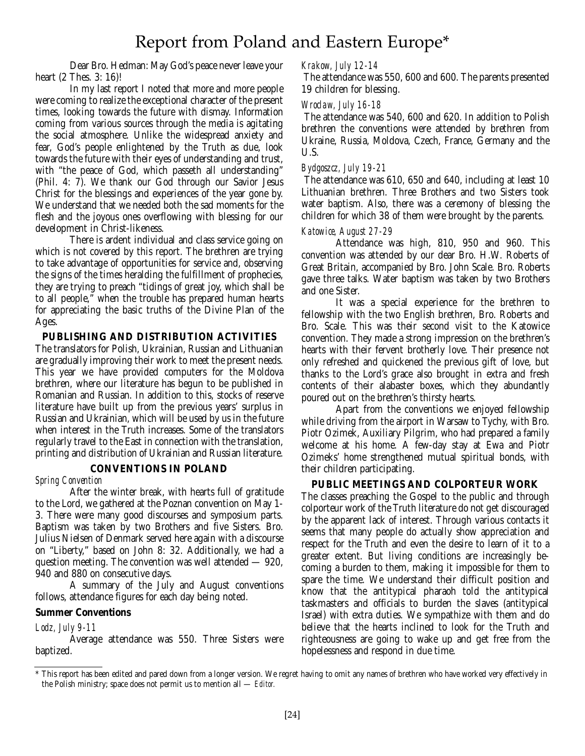# Report from Poland and Eastern Europe\*

Dear Bro. Hedman: May God's peace never leave your heart (2 Thes. 3: 16)!

In my last report I noted that more and more people were coming to realize the exceptional character of the present times, looking towards the future with dismay. Information coming from various sources through the media is agitating the social atmosphere. Unlike the widespread anxiety and fear, God's people enlightened by the Truth as due, look towards the future with their eyes of understanding and trust, with "the peace of God, which passeth all understanding" (Phil. 4: 7). We thank our God through our Savior Jesus Christ for the blessings and experiences of the year gone by. We understand that we needed both the sad moments for the flesh and the joyous ones overflowing with blessing for our development in Christ-likeness.

There is ardent individual and class service going on which is not covered by this report. The brethren are trying to take advantage of opportunities for service and, observing the signs of the times heralding the fulfillment of prophecies, they are trying to preach "tidings of great joy, which shall be to all people," when the trouble has prepared human hearts for appreciating the basic truths of the Divine Plan of the Ages.

#### **PUBLISHING AND DISTRIBUTION ACTIVITIES**

The translators for Polish, Ukrainian, Russian and Lithuanian are gradually improving their work to meet the present needs. This year we have provided computers for the Moldova brethren, where our literature has begun to be published in Romanian and Russian. In addition to this, stocks of reserve literature have built up from the previous years' surplus in Russian and Ukrainian, which will be used by us in the future when interest in the Truth increases. Some of the translators regularly travel to the East in connection with the translation, printing and distribution of Ukrainian and Russian literature.

#### **CONVENTIONS IN POLAND**

#### *Spring Convention*

After the winter break, with hearts full of gratitude to the Lord, we gathered at the Poznan convention on May 1- 3. There were many good discourses and symposium parts. Baptism was taken by two Brothers and five Sisters. Bro. Julius Nielsen of Denmark served here again with a discourse on "Liberty," based on John 8: 32. Additionally, we had a question meeting. The convention was well attended — 920, 940 and 880 on consecutive days.

A summary of the July and August conventions follows, attendance figures for each day being noted.

#### **Summer Conventions**

#### *Lodz, July 9-11*

Average attendance was 550. Three Sisters were baptized.

#### *Krakow, July 12-14*

The attendance was 550, 600 and 600. The parents presented 19 children for blessing.

#### *Wroclaw, July 16-18*

The attendance was 540, 600 and 620. In addition to Polish brethren the conventions were attended by brethren from Ukraine, Russia, Moldova, Czech, France, Germany and the U.S.

#### *Bydgoszcz, July 19-21*

The attendance was 610, 650 and 640, including at least 10 Lithuanian brethren. Three Brothers and two Sisters took water baptism. Also, there was a ceremony of blessing the children for which 38 of them were brought by the parents.

#### *Katowice, August 27-29*

Attendance was high, 810, 950 and 960. This convention was attended by our dear Bro. H.W. Roberts of Great Britain, accompanied by Bro. John Scale. Bro. Roberts gave three talks. Water baptism was taken by two Brothers and one Sister.

It was a special experience for the brethren to fellowship with the two English brethren, Bro. Roberts and Bro. Scale. This was their second visit to the Katowice convention. They made a strong impression on the brethren's hearts with their fervent brotherly love. Their presence not only refreshed and quickened the previous gift of love, but thanks to the Lord's grace also brought in extra and fresh contents of their alabaster boxes, which they abundantly poured out on the brethren's thirsty hearts.

Apart from the conventions we enjoyed fellowship while driving from the airport in Warsaw to Tychy, with Bro. Piotr Ozimek, Auxiliary Pilgrim, who had prepared a family welcome at his home. A few-day stay at Ewa and Piotr Ozimeks' home strengthened mutual spiritual bonds, with their children participating.

#### **PUBLIC MEETINGS AND COLPORTEUR WORK**

The classes preaching the Gospel to the public and through colporteur work of the Truth literature do not get discouraged by the apparent lack of interest. Through various contacts it seems that many people do actually show appreciation and respect for the Truth and even the desire to learn of it to a greater extent. But living conditions are increasingly becoming a burden to them, making it impossible for them to spare the time. We understand their difficult position and know that the antitypical pharaoh told the antitypical taskmasters and officials to burden the slaves (antitypical Israel) with extra duties. We sympathize with them and do believe that the hearts inclined to look for the Truth and righteousness are going to wake up and get free from the hopelessness and respond in due time.

<sup>\*</sup> This report has been edited and pared down from a longer version. We regret having to omit any names of brethren who have worked very effectively in the Polish ministry; space does not permit us to mention all — *Editor.*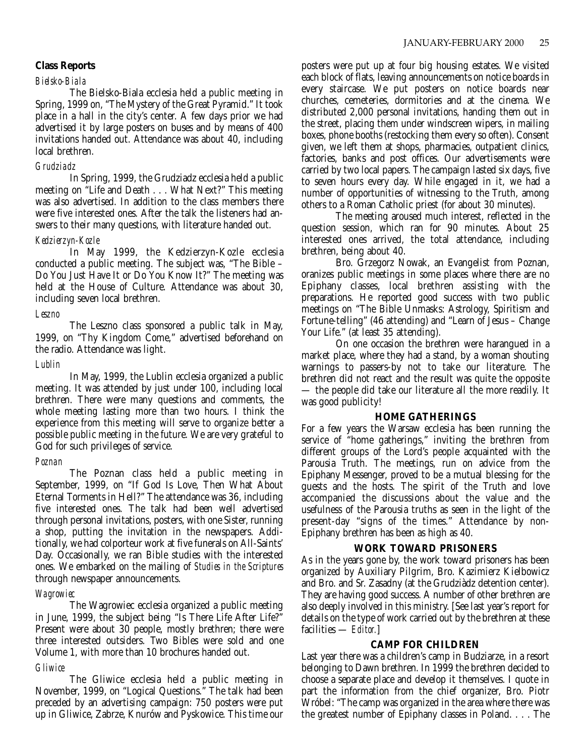#### *Bielsko-Biala*

The Bielsko-Biala ecclesia held a public meeting in Spring, 1999 on, "The Mystery of the Great Pyramid." It took place in a hall in the city's center. A few days prior we had advertised it by large posters on buses and by means of 400 invitations handed out. Attendance was about 40, including local brethren.

#### *Grudziadz*

In Spring, 1999, the Grudziadz ecclesia held a public meeting on "Life and Death . . . What Next?" This meeting was also advertised. In addition to the class members there were five interested ones. After the talk the listeners had answers to their many questions, with literature handed out.

#### *Kedzierzyn-Kozle*

In May 1999, the Kedzierzyn-Kozle ecclesia conducted a public meeting. The subject was, "The Bible – Do You Just Have It or Do You Know It?" The meeting was held at the House of Culture. Attendance was about 30, including seven local brethren.

#### *Leszno*

The Leszno class sponsored a public talk in May, 1999, on "Thy Kingdom Come," advertised beforehand on the radio. Attendance was light.

#### *Lublin*

In May, 1999, the Lublin ecclesia organized a public meeting. It was attended by just under 100, including local brethren. There were many questions and comments, the whole meeting lasting more than two hours. I think the experience from this meeting will serve to organize better a possible public meeting in the future. We are very grateful to God for such privileges of service.

#### *Poznan*

The Poznan class held a public meeting in September, 1999, on "If God Is Love, Then What About Eternal Torments in Hell?" The attendance was 36, including five interested ones. The talk had been well advertised through personal invitations, posters, with one Sister, running a shop, putting the invitation in the newspapers. Additionally, we had colporteur work at five funerals on All-Saints' Day. Occasionally, we ran Bible studies with the interested ones. We embarked on the mailing of *Studies in the Scriptures* through newspaper announcements.

#### *Wagrowiec*

The Wagrowiec ecclesia organized a public meeting in June, 1999, the subject being "Is There Life After Life?" Present were about 30 people, mostly brethren; there were three interested outsiders. Two Bibles were sold and one Volume 1, with more than 10 brochures handed out.

#### *Gliwice*

The Gliwice ecclesia held a public meeting in November, 1999, on "Logical Questions." The talk had been preceded by an advertising campaign: 750 posters were put up in Gliwice, Zabrze, Knurów and Pyskowice. This time our posters were put up at four big housing estates. We visited each block of flats, leaving announcements on notice boards in every staircase. We put posters on notice boards near churches, cemeteries, dormitories and at the cinema. We distributed 2,000 personal invitations, handing them out in the street, placing them under windscreen wipers, in mailing boxes, phone booths (restocking them every so often). Consent given, we left them at shops, pharmacies, outpatient clinics, factories, banks and post offices. Our advertisements were carried by two local papers. The campaign lasted six days, five to seven hours every day. While engaged in it, we had a number of opportunities of witnessing to the Truth, among others to a Roman Catholic priest (for about 30 minutes).

The meeting aroused much interest, reflected in the question session, which ran for 90 minutes. About 25 interested ones arrived, the total attendance, including brethren, being about 40.

Bro. Grzegorz Nowak, an Evangelist from Poznan, oranizes public meetings in some places where there are no Epiphany classes, local brethren assisting with the preparations. He reported good success with two public meetings on "The Bible Unmasks: Astrology, Spiritism and Fortune-telling" (46 attending) and "Learn of Jesus – Change Your Life." (at least 35 attending).

On one occasion the brethren were harangued in a market place, where they had a stand, by a woman shouting warnings to passers-by not to take our literature. The brethren did not react and the result was quite the opposite — the people did take our literature all the more readily. It was good publicity!

#### **HOME GATHERINGS**

For a few years the Warsaw ecclesia has been running the service of "home gatherings," inviting the brethren from different groups of the Lord's people acquainted with the Parousia Truth. The meetings, run on advice from the Epiphany Messenger, proved to be a mutual blessing for the guests and the hosts. The spirit of the Truth and love accompanied the discussions about the value and the usefulness of the Parousia truths as seen in the light of the present-day "signs of the times." Attendance by non-Epiphany brethren has been as high as 40.

#### **WORK TOWARD PRISONERS**

As in the years gone by, the work toward prisoners has been organized by Auxiliary Pilgrim, Bro. Kazimierz Kielbowicz and Bro. and Sr. Zasadny (at the Grudziàdz detention center). They are having good success. A number of other brethren are also deeply involved in this ministry. [See last year's report for details on the type of work carried out by the brethren at these facilities — *Editor.*]

#### **CAMP FOR CHILDREN**

Last year there was a children's camp in Budziarze, in a resort belonging to Dawn brethren. In 1999 the brethren decided to choose a separate place and develop it themselves. I quote in part the information from the chief organizer, Bro. Piotr Wróbel: "The camp was organized in the area where there was the greatest number of Epiphany classes in Poland. . . . The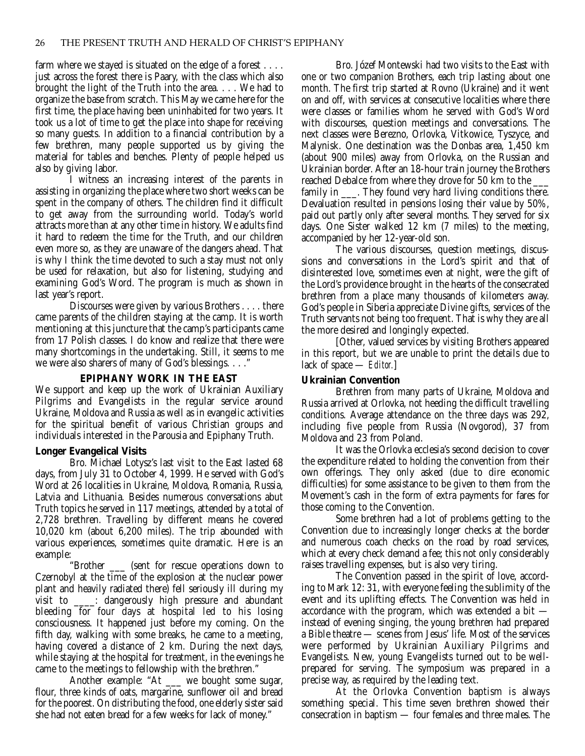farm where we stayed is situated on the edge of a forest . . . . just across the forest there is Paary, with the class which also brought the light of the Truth into the area. . . . We had to organize the base from scratch. This May we came here for the first time, the place having been uninhabited for two years. It took us a lot of time to get the place into shape for receiving so many guests. In addition to a financial contribution by a few brethren, many people supported us by giving the material for tables and benches. Plenty of people helped us also by giving labor.

I witness an increasing interest of the parents in assisting in organizing the place where two short weeks can be spent in the company of others. The children find it difficult to get away from the surrounding world. Today's world attracts more than at any other time in history. We adults find it hard to redeem the time for the Truth, and our children even more so, as they are unaware of the dangers ahead. That is why I think the time devoted to such a stay must not only be used for relaxation, but also for listening, studying and examining God's Word. The program is much as shown in last year's report.

Discourses were given by various Brothers . . . . there came parents of the children staying at the camp. It is worth mentioning at this juncture that the camp's participants came from 17 Polish classes. I do know and realize that there were many shortcomings in the undertaking. Still, it seems to me we were also sharers of many of God's blessings. . . ."

#### **EPIPHANY WORK IN THE EAST**

We support and keep up the work of Ukrainian Auxiliary Pilgrims and Evangelists in the regular service around Ukraine, Moldova and Russia as well as in evangelic activities for the spiritual benefit of various Christian groups and individuals interested in the Parousia and Epiphany Truth.

#### **Longer Evangelical Visits**

Bro. Michael Lotysz's last visit to the East lasted 68 days, from July 31 to October 4, 1999. He served with God's Word at 26 localities in Ukraine, Moldova, Romania, Russia, Latvia and Lithuania. Besides numerous conversations abut Truth topics he served in 117 meetings, attended by a total of 2,728 brethren. Travelling by different means he covered 10,020 km (about 6,200 miles). The trip abounded with various experiences, sometimes quite dramatic. Here is an example:

"Brother \_\_\_ (sent for rescue operations down to Czernobyl at the time of the explosion at the nuclear power plant and heavily radiated there) fell seriously ill during my visit to \_\_\_\_: dangerously high pressure and abundant bleeding for four days at hospital led to his losing consciousness. It happened just before my coming. On the fifth day, walking with some breaks, he came to a meeting, having covered a distance of 2 km. During the next days, while staying at the hospital for treatment, in the evenings he came to the meetings to fellowship with the brethren."

Another example: "At \_\_\_ we bought some sugar, flour, three kinds of oats, margarine, sunflower oil and bread for the poorest. On distributing the food, one elderly sister said she had not eaten bread for a few weeks for lack of money."

Bro. Józef Montewski had two visits to the East with one or two companion Brothers, each trip lasting about one month. The first trip started at Rovno (Ukraine) and it went on and off, with services at consecutive localities where there were classes or families whom he served with God's Word with discourses, question meetings and conversations. The next classes were Berezno, Orlovka, Vitkowice, Tyszyce, and Malynisk. One destination was the Donbas area, 1,450 km (about 900 miles) away from Orlovka, on the Russian and Ukrainian border. After an 18-hour train journey the Brothers reached Debalce from where they drove for 50 km to the family in \_\_\_. They found very hard living conditions there. Devaluation resulted in pensions losing their value by 50%, paid out partly only after several months. They served for six days. One Sister walked 12 km (7 miles) to the meeting, accompanied by her 12-year-old son.

The various discourses, question meetings, discussions and conversations in the Lord's spirit and that of disinterested love, sometimes even at night, were the gift of the Lord's providence brought in the hearts of the consecrated brethren from a place many thousands of kilometers away. God's people in Siberia appreciate Divine gifts, services of the Truth servants not being too frequent. That is why they are all the more desired and longingly expected.

[Other, valued services by visiting Brothers appeared in this report, but we are unable to print the details due to lack of space — *Editor.*]

#### **Ukrainian Convention**

Brethren from many parts of Ukraine, Moldova and Russia arrived at Orlovka, not heeding the difficult travelling conditions. Average attendance on the three days was 292, including five people from Russia (Novgorod), 37 from Moldova and 23 from Poland.

It was the Orlovka ecclesia's second decision to cover the expenditure related to holding the convention from their own offerings. They only asked (due to dire economic difficulties) for some assistance to be given to them from the Movement's cash in the form of extra payments for fares for those coming to the Convention.

Some brethren had a lot of problems getting to the Convention due to increasingly longer checks at the border and numerous coach checks on the road by road services, which at every check demand a fee; this not only considerably raises travelling expenses, but is also very tiring.

The Convention passed in the spirit of love, according to Mark 12: 31, with everyone feeling the sublimity of the event and its uplifting effects. The Convention was held in accordance with the program, which was extended a bit instead of evening singing, the young brethren had prepared a Bible theatre — scenes from Jesus' life. Most of the services were performed by Ukrainian Auxiliary Pilgrims and Evangelists. New, young Evangelists turned out to be wellprepared for serving. The symposium was prepared in a precise way, as required by the leading text.

At the Orlovka Convention baptism is always something special. This time seven brethren showed their consecration in baptism — four females and three males. The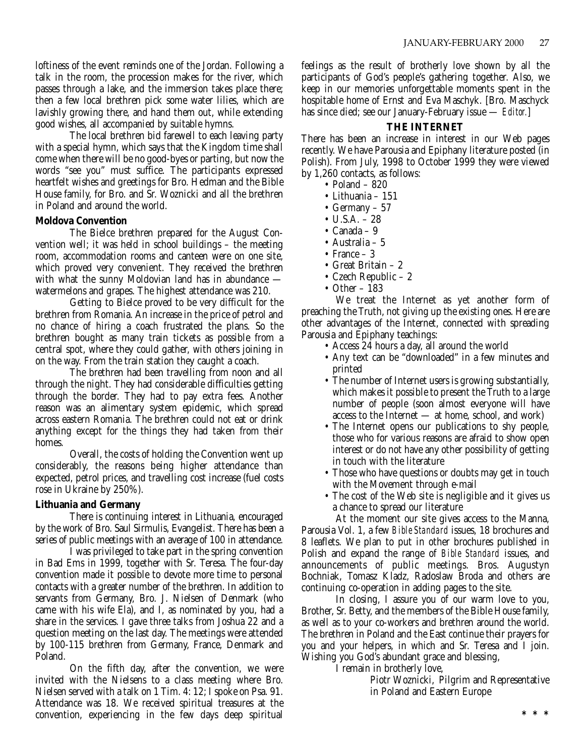loftiness of the event reminds one of the Jordan. Following a talk in the room, the procession makes for the river, which passes through a lake, and the immersion takes place there; then a few local brethren pick some water lilies, which are lavishly growing there, and hand them out, while extending good wishes, all accompanied by suitable hymns.

The local brethren bid farewell to each leaving party with a special hymn, which says that the Kingdom time shall come when there will be no good-byes or parting, but now the words "see you" must suffice. The participants expressed heartfelt wishes and greetings for Bro. Hedman and the Bible House family, for Bro. and Sr. Woznicki and all the brethren in Poland and around the world.

#### **Moldova Convention**

The Bielce brethren prepared for the August Convention well; it was held in school buildings – the meeting room, accommodation rooms and canteen were on one site, which proved very convenient. They received the brethren with what the sunny Moldovian land has in abundance watermelons and grapes. The highest attendance was 210.

Getting to Bielce proved to be very difficult for the brethren from Romania. An increase in the price of petrol and no chance of hiring a coach frustrated the plans. So the brethren bought as many train tickets as possible from a central spot, where they could gather, with others joining in on the way. From the train station they caught a coach.

The brethren had been travelling from noon and all through the night. They had considerable difficulties getting through the border. They had to pay extra fees. Another reason was an alimentary system epidemic, which spread across eastern Romania. The brethren could not eat or drink anything except for the things they had taken from their homes.

Overall, the costs of holding the Convention went up considerably, the reasons being higher attendance than expected, petrol prices, and travelling cost increase (fuel costs rose in Ukraine by 250%).

#### **Lithuania and Germany**

There is continuing interest in Lithuania, encouraged by the work of Bro. Saul Sirmulis, Evangelist. There has been a series of public meetings with an average of 100 in attendance.

I was privileged to take part in the spring convention in Bad Ems in 1999, together with Sr. Teresa. The four-day convention made it possible to devote more time to personal contacts with a greater number of the brethren. In addition to servants from Germany, Bro. J. Nielsen of Denmark (who came with his wife Ela), and I, as nominated by you, had a share in the services. I gave three talks from Joshua 22 and a question meeting on the last day. The meetings were attended by 100-115 brethren from Germany, France, Denmark and Poland.

On the fifth day, after the convention, we were invited with the Nielsens to a class meeting where Bro. Nielsen served with a talk on 1 Tim. 4: 12; I spoke on Psa. 91. Attendance was 18. We received spiritual treasures at the convention, experiencing in the few days deep spiritual feelings as the result of brotherly love shown by all the participants of God's people's gathering together. Also, we keep in our memories unforgettable moments spent in the hospitable home of Ernst and Eva Maschyk. [Bro. Maschyck has since died; see our January-February issue — *Editor.*]

#### **THE INTERNET**

There has been an increase in interest in our Web pages recently. We have Parousia and Epiphany literature posted (in Polish). From July, 1998 to October 1999 they were viewed by 1,260 contacts, as follows:

- Poland 820
- Lithuania 151
- Germany 57
- U.S.A. 28
- Canada 9
- Australia 5
- France 3
- Great Britain 2
- Czech Republic 2
- Other 183

We treat the Internet as yet another form of preaching the Truth, not giving up the existing ones. Here are other advantages of the Internet, connected with spreading Parousia and Epiphany teachings:

- Access 24 hours a day, all around the world
- Any text can be "downloaded" in a few minutes and printed
- The number of Internet users is growing substantially, which makes it possible to present the Truth to a large number of people (soon almost everyone will have access to the Internet — at home, school, and work)
- The Internet opens our publications to shy people, those who for various reasons are afraid to show open interest or do not have any other possibility of getting in touch with the literature
- Those who have questions or doubts may get in touch with the Movement through e-mail
- The cost of the Web site is negligible and it gives us a chance to spread our literature

At the moment our site gives access to the Manna, Parousia Vol. 1, a few *Bible Standard* issues, 18 brochures and 8 leaflets. We plan to put in other brochures published in Polish and expand the range of *Bible Standard* issues, and announcements of public meetings. Bros. Augustyn Bochniak, Tomasz Kladz, Radoslaw Broda and others are continuing co-operation in adding pages to the site.

In closing, I assure you of our warm love to you, Brother, Sr. Betty, and the members of the Bible House family, as well as to your co-workers and brethren around the world. The brethren in Poland and the East continue their prayers for you and your helpers, in which and Sr. Teresa and I join. Wishing you God's abundant grace and blessing,

I remain in brotherly love,

Piotr Woznicki, Pilgrim and Representative in Poland and Eastern Europe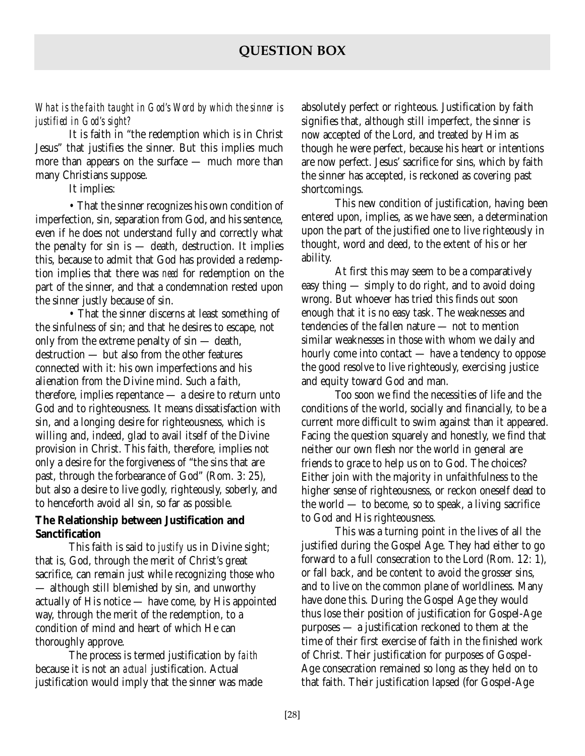*What is the faith taught in God's Word by which the sinner is justified in God's sight?*

It is faith in "the redemption which is in Christ Jesus" that justifies the sinner. But this implies much more than appears on the surface — much more than many Christians suppose.

It implies:

• That the sinner recognizes his own condition of imperfection, sin, separation from God, and his sentence, even if he does not understand fully and correctly what the penalty for sin is — death, destruction. It implies this, because to admit that God has provided a redemption implies that there was *need* for redemption on the part of the sinner, and that a condemnation rested upon the sinner justly because of sin.

• That the sinner discerns at least something of the sinfulness of sin; and that he desires to escape, not only from the extreme penalty of sin — death, destruction — but also from the other features connected with it: his own imperfections and his alienation from the Divine mind. Such a faith, therefore, implies repentance — a desire to return unto God and to righteousness. It means dissatisfaction with sin, and a longing desire for righteousness, which is willing and, indeed, glad to avail itself of the Divine provision in Christ. This faith, therefore, implies not only a desire for the forgiveness of "the sins that are past, through the forbearance of God" (Rom. 3: 25), but also a desire to live godly, righteously, soberly, and to henceforth avoid all sin, so far as possible.

### **The Relationship between Justification and Sanctification**

This faith is said to *justify* us in Divine sight; that is, God, through the merit of Christ's great sacrifice, can remain just while recognizing those who — although still blemished by sin, and unworthy actually of His notice — have come, by His appointed way, through the merit of the redemption, to a condition of mind and heart of which He can thoroughly approve.

The process is termed justification by *faith* because it is not an *actual* justification. Actual justification would imply that the sinner was made

absolutely perfect or righteous. Justification by faith signifies that, although still imperfect, the sinner is now accepted of the Lord, and treated by Him as though he were perfect, because his heart or intentions are now perfect. Jesus' sacrifice for sins, which by faith the sinner has accepted, is reckoned as covering past shortcomings.

This new condition of justification, having been entered upon, implies, as we have seen, a determination upon the part of the justified one to live righteously in thought, word and deed, to the extent of his or her ability.

At first this may seem to be a comparatively easy thing — simply to do right, and to avoid doing wrong. But whoever has tried this finds out soon enough that it is no easy task. The weaknesses and tendencies of the fallen nature — not to mention similar weaknesses in those with whom we daily and hourly come into contact — have a tendency to oppose the good resolve to live righteously, exercising justice and equity toward God and man.

Too soon we find the necessities of life and the conditions of the world, socially and financially, to be a current more difficult to swim against than it appeared. Facing the question squarely and honestly, we find that neither our own flesh nor the world in general are friends to grace to help us on to God. The choices? Either join with the majority in unfaithfulness to the higher sense of righteousness, or reckon oneself dead to the world — to become, so to speak, a living sacrifice to God and His righteousness.

This was a turning point in the lives of all the justified during the Gospel Age. They had either to go forward to a full consecration to the Lord (Rom. 12: 1), or fall back, and be content to avoid the grosser sins, and to live on the common plane of worldliness. Many have done this. During the Gospel Age they would thus lose their position of justification for Gospel-Age purposes — a justification reckoned to them at the time of their first exercise of faith in the finished work of Christ. Their justification for purposes of Gospel-Age consecration remained so long as they held on to that faith. Their justification lapsed (for Gospel-Age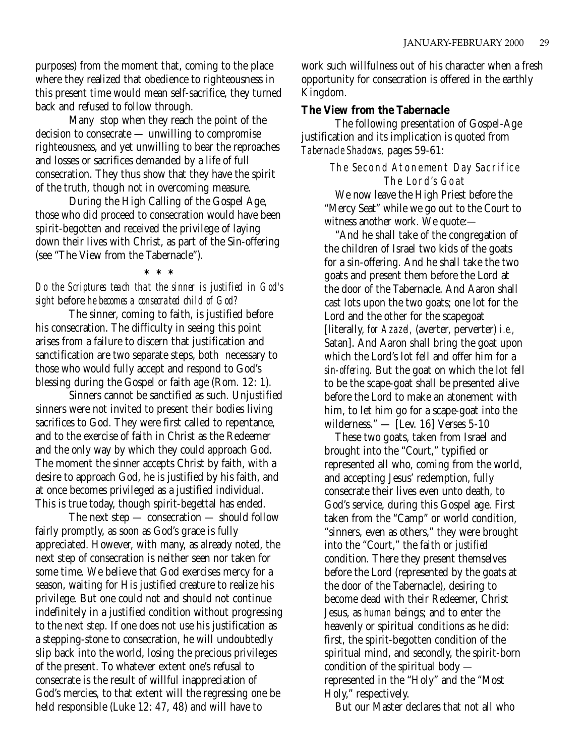purposes) from the moment that, coming to the place where they realized that obedience to righteousness in this present time would mean self-sacrifice, they turned back and refused to follow through.

Many stop when they reach the point of the decision to consecrate — unwilling to compromise righteousness, and yet unwilling to bear the reproaches and losses or sacrifices demanded by a life of full consecration. They thus show that they have the spirit of the truth, though not in overcoming measure.

During the High Calling of the Gospel Age, those who did proceed to consecration would have been spirit-begotten and received the privilege of laying down their lives with Christ, as part of the Sin-offering (see "The View from the Tabernacle").

**\*\*\*** *Do the Scriptures teach that the sinner is justified in God's sight* before *he becomes a consecrated child of God?*

The sinner, coming to faith, is justified before his consecration. The difficulty in seeing this point arises from a failure to discern that justification and sanctification are two separate steps, both necessary to those who would fully accept and respond to God's blessing during the Gospel or faith age (Rom. 12: 1).

Sinners cannot be sanctified as such. Unjustified sinners were not invited to present their bodies living sacrifices to God. They were first called to repentance, and to the exercise of faith in Christ as the Redeemer and the only way by which they could approach God. The moment the sinner accepts Christ by faith, with a desire to approach God, he is justified by his faith, and at once becomes privileged as a justified individual. This is true today, though spirit-begettal has ended.

The next step — consecration — should follow fairly promptly, as soon as God's grace is fully appreciated. However, with many, as already noted, the next step of consecration is neither seen nor taken for some time. We believe that God exercises mercy for a season, waiting for His justified creature to realize his privilege. But one could not and should not continue indefinitely in a justified condition without progressing to the next step. If one does not use his justification as a stepping-stone to consecration, he will undoubtedly slip back into the world, losing the precious privileges of the present. To whatever extent one's refusal to consecrate is the result of willful inappreciation of God's mercies, to that extent will the regressing one be held responsible (Luke 12: 47, 48) and will have to

work such willfulness out of his character when a fresh opportunity for consecration is offered in the earthly Kingdom.

#### **The View from the Tabernacle**

The following presentation of Gospel-Age justification and its implication is quoted from *Tabernacle Shadows,* pages 59-61:

> The Second Atonement Day Sacrifice The Lord's Goat

We now leave the High Priest before the "Mercy Seat" while we go out to the Court to witness another work. We quote:—

"And he shall take of the congregation of the children of Israel two kids of the goats for a sin-offering. And he shall take the two goats and present them before the Lord at the door of the Tabernacle. And Aaron shall cast lots upon the two goats; one lot for the Lord and the other for the scapegoat [literally, *for Azazel,* (averter, perverter) *i.e.,* Satan]. And Aaron shall bring the goat upon which the Lord's lot fell and offer him for a *sin-offering.* But the goat on which the lot fell to be the scape-goat shall be presented alive before the Lord to make an atonement with him, to let him go for a scape-goat into the wilderness." — [Lev. 16] Verses 5-10

These two goats, taken from Israel and brought into the "Court," typified or represented all who, coming from the world, and accepting Jesus' redemption, fully consecrate their lives even unto death, to God's service, during this Gospel age. First taken from the "Camp" or world condition, "sinners, even as others," they were brought into the "Court," the faith or *justified* condition. There they present themselves before the Lord (represented by the goats at the door of the Tabernacle), desiring to become dead with their Redeemer, Christ Jesus, as *human* beings; and to enter the heavenly or spiritual conditions as he did: first, the spirit-begotten condition of the spiritual mind, and secondly, the spirit-born condition of the spiritual body represented in the "Holy" and the "Most Holy," respectively.

But our Master declares that not all who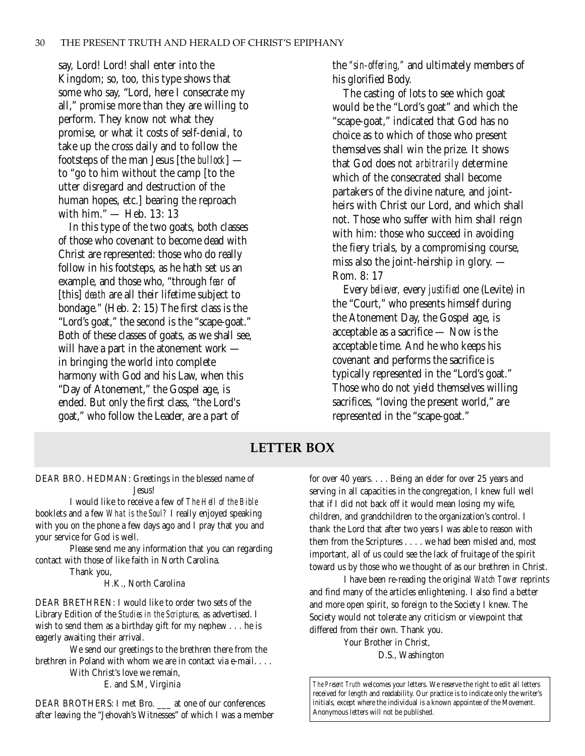say, Lord! Lord! shall enter into the Kingdom; so, too, this type shows that some who say, "Lord, here I consecrate my all," promise more than they are willing to perform. They know not what they promise, or what it costs of self-denial, to take up the cross daily and to follow the footsteps of the man Jesus [the *bullock*] to "go to him without the camp [to the utter disregard and destruction of the human hopes, etc.] bearing the reproach with him." — Heb. 13: 13

In this type of the two goats, both classes of those who covenant to become dead with Christ are represented: those who do really follow in his footsteps, as he hath set us an example, and those who, "through *fear* of [this] *death* are all their lifetime subject to bondage." (Heb. 2: 15) The first class is the "Lord's goat," the second is the "scape-goat." Both of these classes of goats, as we shall see, will have a part in the atonement work in bringing the world into complete harmony with God and his Law, when this "Day of Atonement," the Gospel age, is ended. But only the first class, "the Lord's goat," who follow the Leader, are a part of

the *"sin-offering,"* and ultimately members of his glorified Body.

The casting of lots to see which goat would be the "Lord's goat" and which the "scape-goat," indicated that God has no choice as to which of those who present themselves shall win the prize. It shows that God does not *arbitrarily* determine which of the consecrated shall become partakers of the divine nature, and jointheirs with Christ our Lord, and which shall not. Those who suffer with him shall reign with him: those who succeed in avoiding the fiery trials, by a compromising course, miss also the joint-heirship in glory. — Rom. 8: 17

Every *believer,* every *justified* one (Levite) in the "Court," who presents himself during the Atonement Day, the Gospel age, is acceptable as a sacrifice — Now is the acceptable time. And he who keeps his covenant and performs the sacrifice is typically represented in the "Lord's goat." Those who do not yield themselves willing sacrifices, "loving the present world," are represented in the "scape-goat."

## **LETTER BOX**

DEAR BRO. HEDMAN: Greetings in the blessed name of Jesus!

I would like to receive a few of *The Hell of the Bible* booklets and a few *What is the Soul?* I really enjoyed speaking with you on the phone a few days ago and I pray that you and your service for God is well.

Please send me any information that you can regarding contact with those of like faith in North Carolina.

Thank you,

H.K., North Carolina

DEAR BRETHREN: I would like to order two sets of the Library Edition of the *Studies in the Scriptures,* as advertised. I wish to send them as a birthday gift for my nephew . . . he is eagerly awaiting their arrival.

We send our greetings to the brethren there from the brethren in Poland with whom we are in contact via e-mail. . . . With Christ's love we remain,

E. and S.M, Virginia

DEAR BROTHERS: I met Bro. \_\_\_ at one of our conferences after leaving the "Jehovah's Witnesses" of which I was a member for over 40 years. . . . Being an elder for over 25 years and serving in all capacities in the congregation, I knew full well that if I did not back off it would mean losing my wife, children, and grandchildren to the organization's control. I thank the Lord that after two years I was able to reason with them from the Scriptures . . . . we had been misled and, most important, all of us could see the lack of fruitage of the spirit toward us by those who we thought of as our brethren in Christ.

I have been re-reading the original *Watch Tower* reprints and find many of the articles enlightening. I also find a better and more open spirit, so foreign to the Society I knew. The Society would not tolerate any criticism or viewpoint that differed from their own. Thank you.

> Your Brother in Christ, D.S., Washington

*The Present Truth* welcomes your letters. We reserve the right to edit all letters received for length and readability. Our practice is to indicate only the writer's initials, except where the individual is a known appointee of the Movement. Anonymous letters will not be published.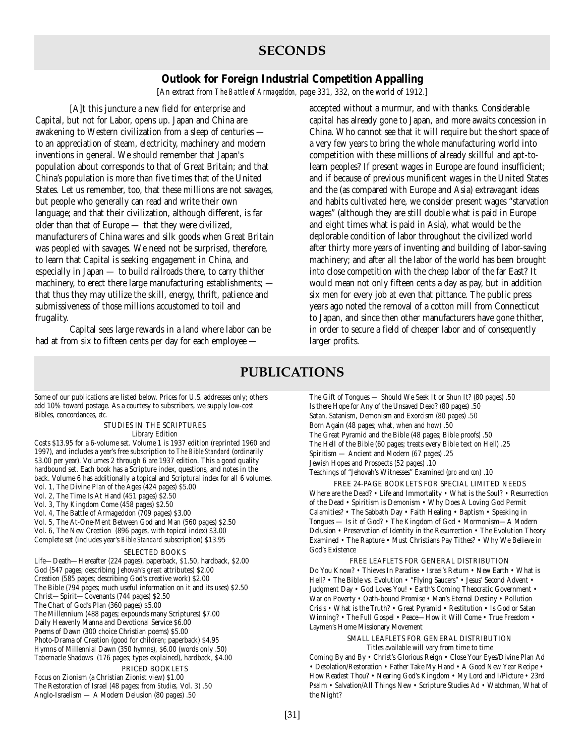## **SECONDS**

#### **Outlook for Foreign Industrial Competition Appalling**

[An extract from *The Battle of Armageddon,* page 331, 332, on the world of 1912.]

[A]t this juncture a new field for enterprise and Capital, but not for Labor, opens up. Japan and China are awakening to Western civilization from a sleep of centuries to an appreciation of steam, electricity, machinery and modern inventions in general. We should remember that Japan's population about corresponds to that of Great Britain; and that China's population is more than five times that of the United States. Let us remember, too, that these millions are not savages, but people who generally can read and write their own language; and that their civilization, although different, is far older than that of Europe — that they were civilized, manufacturers of China wares and silk goods when Great Britain was peopled with savages. We need not be surprised, therefore, to learn that Capital is seeking engagement in China, and especially in Japan — to build railroads there, to carry thither machinery, to erect there large manufacturing establishments; that thus they may utilize the skill, energy, thrift, patience and submissiveness of those millions accustomed to toil and frugality.

Capital sees large rewards in a land where labor can be had at from six to fifteen cents per day for each employee —

accepted without a murmur, and with thanks. Considerable capital has already gone to Japan, and more awaits concession in China. Who cannot see that it will require but the short space of a very few years to bring the whole manufacturing world into competition with these millions of already skillful and apt-tolearn peoples? If present wages in Europe are found insufficient; and if because of previous munificent wages in the United States and the (as compared with Europe and Asia) extravagant ideas and habits cultivated here, we consider present wages "starvation wages" (although they are still double what is paid in Europe and eight times what is paid in Asia), what would be the deplorable condition of labor throughout the civilized world after thirty more years of inventing and building of labor-saving machinery; and after all the labor of the world has been brought into close competition with the cheap labor of the far East? It would mean not only fifteen cents a day as pay, but in addition six men for every job at even that pittance. The public press years ago noted the removal of a cotton mill from Connecticut to Japan, and since then other manufacturers have gone thither, in order to secure a field of cheaper labor and of consequently larger profits.

## **PUBLICATIONS**

Some of our publications are listed below. Prices for U.S. addresses only; others add 10% toward postage. As a courtesy to subscribers, we supply low-cost Bibles, concordances, *etc*.

> STUDIES IN THE SCRIPTURES Library Edition

Costs \$13.95 for a 6-volume set. Volume 1 is 1937 edition (reprinted 1960 and 1997), and includes a year's free subscription to *The Bible Standard* (ordinarily \$3.00 per year). Volumes 2 through 6 are 1937 edition. This a good quality hardbound set. Each book has a Scripture index, questions, and notes in the back. Volume 6 has additionally a topical and Scriptural index for all 6 volumes. Vol. 1, The Divine Plan of the Ages (424 pages) \$5.00 Vol. 2, The Time Is At Hand (451 pages) \$2.50 Vol. 3, Thy Kingdom Come (458 pages) \$2.50 Vol. 4, The Battle of Armageddon (709 pages) \$3.00 Vol. 5, The At-One-Ment Between God and Man (560 pages) \$2.50 Vol. 6, The New Creation (896 pages, with topical index) \$3.00 Complete set (includes year's *Bible Standard* subscription) \$13.95 SELECTED BOOKS

Life—Death—Hereafter (224 pages), paperback, \$1.50, hardback, \$2.00 God (547 pages; describing Jehovah's great attributes) \$2.00 Creation (585 pages; describing God's creative work) \$2.00 The Bible (794 pages; much useful information on it and its uses) \$2.50 Christ—Spirit—Covenants (744 pages) \$2.50 The Chart of God's Plan (360 pages) \$5.00 The Millennium (488 pages; expounds many Scriptures) \$7.00 Daily Heavenly Manna and Devotional Service \$6.00 Poems of Dawn (300 choice Christian poems) \$5.00 Photo-Drama of Creation (good for children; paperback) \$4.95 Hymns of Millennial Dawn (350 hymns), \$6.00 (words only .50) Tabernacle Shadows (176 pages; types explained), hardback, \$4.00 PRICED BOOKLETS Focus on Zionism (a Christian Zionist view) \$1.00

The Restoration of Israel (48 pages; from *Studies,* Vol. 3) .50 Anglo-Israelism — A Modern Delusion (80 pages) .50

The Gift of Tongues — Should We Seek It or Shun It? (80 pages) .50 Is there Hope for Any of the Unsaved Dead? (80 pages) .50 Satan, Satanism, Demonism and Exorcism (80 pages) .50 Born Again (48 pages; what, when and how) .50 The Great Pyramid and the Bible (48 pages; Bible proofs) .50 The Hell of the Bible (60 pages; treats every Bible text on Hell) .25 Spiritism — Ancient and Modern (67 pages) .25 Jewish Hopes and Prospects (52 pages) .10 Teachings of "Jehovah's Witnesses" Examined (*pro* and *con*) .10

FREE 24-PAGE BOOKLETS FOR SPECIAL LIMITED NEEDS Where are the Dead? • Life and Immortality • What is the Soul? • Resurrection of the Dead • Spiritism is Demonism • Why Does A Loving God Permit Calamities? • The Sabbath Day • Faith Healing • Baptism • Speaking in Tongues — Is it of God? • The Kingdom of God • Mormonism—A Modern Delusion • Preservation of Identity in the Resurrection • The Evolution Theory Examined • The Rapture • Must Christians Pay Tithes? • Why We Believe in God's Existence

FREE LEAFLETS FOR GENERAL DISTRIBUTION Do You Know? • Thieves In Paradise • Israel's Return • New Earth • What is Hell? • The Bible vs. Evolution • "Flying Saucers" • Jesus' Second Advent • Judgment Day • God Loves You! • Earth's Coming Theocratic Government • War on Poverty • Oath-bound Promise • Man's Eternal Destiny • Pollution Crisis • What is the Truth? • Great Pyramid • Restitution • Is God or Satan Winning? • The Full Gospel • Peace—How it Will Come • True Freedom • Laymen's Home Missionary Movement

> SMALL LEAFLETS FOR GENERAL DISTRIBUTION Titles available will vary from time to time

Coming By and By • Christ's Glorious Reign • Close Your Eyes/Divine Plan Ad • Desolation/Restoration • Father Take My Hand • A Good New Year Recipe • How Readest Thou? • Nearing God's Kingdom • My Lord and I/Picture • 23rd Psalm • Salvation/All Things New • Scripture Studies Ad • Watchman, What of the Night?